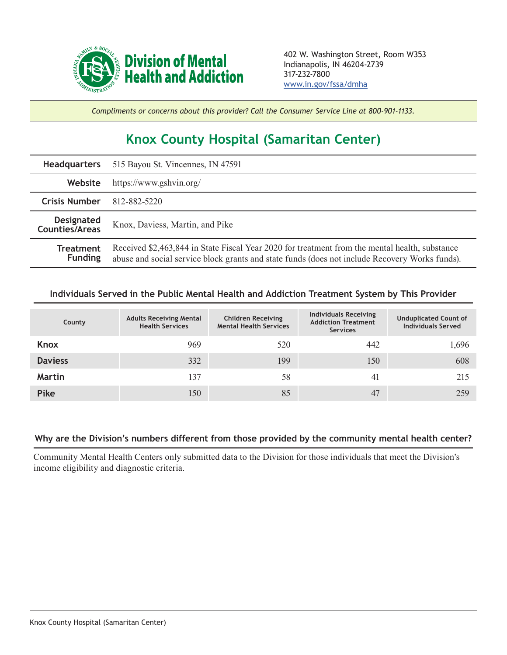

*Compliments or concerns about this provider? Call the Consumer Service Line at 800-901-1133.*

## **Knox County Hospital (Samaritan Center)**

| <b>Headquarters</b>                        | 515 Bayou St. Vincennes, IN 47591                                                                                                                                                                |  |  |  |
|--------------------------------------------|--------------------------------------------------------------------------------------------------------------------------------------------------------------------------------------------------|--|--|--|
| Website                                    | https://www.gshvin.org/                                                                                                                                                                          |  |  |  |
| <b>Crisis Number</b>                       | 812-882-5220                                                                                                                                                                                     |  |  |  |
| <b>Designated</b><br><b>Counties/Areas</b> | Knox, Daviess, Martin, and Pike                                                                                                                                                                  |  |  |  |
| <b>Treatment</b><br><b>Funding</b>         | Received \$2,463,844 in State Fiscal Year 2020 for treatment from the mental health, substance<br>abuse and social service block grants and state funds (does not include Recovery Works funds). |  |  |  |

## **Individuals Served in the Public Mental Health and Addiction Treatment System by This Provider**

| County         | <b>Adults Receiving Mental</b><br><b>Health Services</b> | <b>Children Receiving</b><br><b>Mental Health Services</b> | <b>Individuals Receiving</b><br><b>Addiction Treatment</b><br><b>Services</b> | <b>Unduplicated Count of</b><br><b>Individuals Served</b> |
|----------------|----------------------------------------------------------|------------------------------------------------------------|-------------------------------------------------------------------------------|-----------------------------------------------------------|
| Knox           | 969                                                      | 520                                                        | 442                                                                           | 1,696                                                     |
| <b>Daviess</b> | 332                                                      | 199                                                        | 150                                                                           | 608                                                       |
| Martin         | 137                                                      | 58                                                         | 41                                                                            | 215                                                       |
| <b>Pike</b>    | 150                                                      | 85                                                         | 47                                                                            | 259                                                       |

## **Why are the Division's numbers different from those provided by the community mental health center?**

Community Mental Health Centers only submitted data to the Division for those individuals that meet the Division's income eligibility and diagnostic criteria.